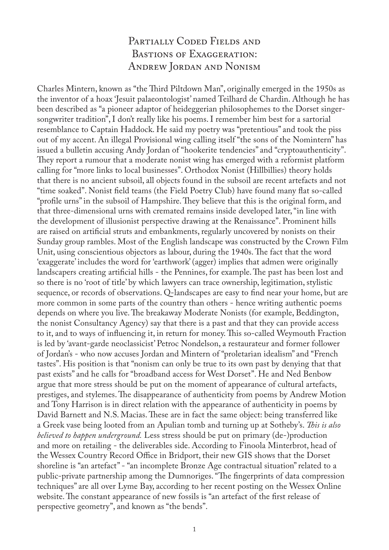## PARTIALLY CODED FIELDS AND Bastions of Exaggeration: Andrew Jordan and Nonism

Charles Mintern, known as "the Third Piltdown Man", originally emerged in the 1950s as the inventor of a hoax 'Jesuit palaeontologist' named Teilhard de Chardin. Although he has been described as "a pioneer adaptor of heideggerian philosophemes to the Dorset singersongwriter tradition", I don't really like his poems. I remember him best for a sartorial resemblance to Captain Haddock. He said my poetry was "pretentious" and took the piss out of my accent. An illegal Provisional wing calling itself "the sons of the Nomintern" has issued a bulletin accusing Andy Jordan of "hookerite tendencies" and "cryptoauthenticity". They report a rumour that a moderate nonist wing has emerged with a reformist platform calling for "more links to local businesses". Orthodox Nonist (Hillbillies) theory holds that there is no ancient subsoil, all objects found in the subsoil are recent artefacts and not "time soaked". Nonist field teams (the Field Poetry Club) have found many flat so-called "profile urns" in the subsoil of Hampshire. They believe that this is the original form, and that three-dimensional urns with cremated remains inside developed later, "in line with the development of illusionist perspective drawing at the Renaissance". Prominent hills are raised on artificial struts and embankments, regularly uncovered by nonists on their Sunday group rambles. Most of the English landscape was constructed by the Crown Film Unit, using conscientious objectors as labour, during the 1940s. The fact that the word 'exaggerate' includes the word for 'earthwork' (agger) implies that admen were originally landscapers creating artificial hills - the Pennines, for example. The past has been lost and so there is no 'root of title' by which lawyers can trace ownership, legitimation, stylistic sequence, or records of observations. Q-landscapes are easy to find near your home, but are more common in some parts of the country than others - hence writing authentic poems depends on where you live. The breakaway Moderate Nonists (for example, Beddington, the nonist Consultancy Agency) say that there is a past and that they can provide access to it, and to ways of influencing it, in return for money. This so-called Weymouth Fraction is led by 'avant-garde neoclassicist' Petroc Nondelson, a restaurateur and former follower of Jordan's - who now accuses Jordan and Mintern of "proletarian idealism" and "French tastes". His position is that "nonism can only be true to its own past by denying that that past exists" and he calls for "broadband access for West Dorset". He and Ned Benbow argue that more stress should be put on the moment of appearance of cultural artefacts, prestiges, and stylemes. The disappearance of authenticity from poems by Andrew Motion and Tony Harrison is in direct relation with the appearance of authenticity in poems by David Barnett and N.S. Macias. These are in fact the same object: being transferred like a Greek vase being looted from an Apulian tomb and turning up at Sotheby's. *This is also believed to happen underground.* Less stress should be put on primary (de-)production and more on retailing - the deliverables side. According to Finoola Minterbrot, head of the Wessex Country Record Office in Bridport, their new GIS shows that the Dorset shoreline is "an artefact" - "an incomplete Bronze Age contractual situation" related to a public-private partnership among the Dumnoriges. "The fingerprints of data compression techniques" are all over Lyme Bay, according to her recent posting on the Wessex Online website. The constant appearance of new fossils is "an artefact of the first release of perspective geometry", and known as "the bends".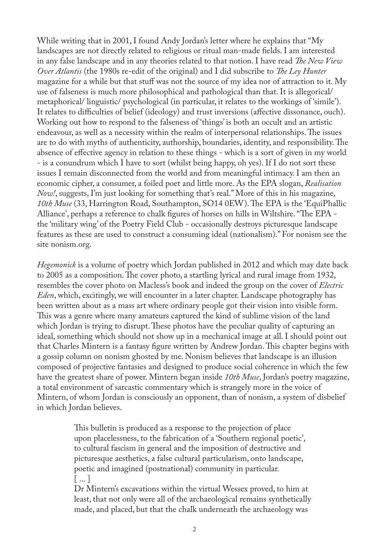While writing that in 2001, I found Andy Jordan's letter where he explains that "My landscapes are not directly related to religious or ritual man-made fields. I am interested in any false landscape and in any theories related to that notion. I have read *The New View Over Atlantis* (the 1980s re-edit of the original) and I did subscribe to *The Ley Hunter* magazine for a while but that stuff was not the source of my idea nor of attraction to it. My use of falseness is much more philosophical and pathological than that. It is allegorical/ metaphorical/ linguistic/ psychological (in particular, it relates to the workings of 'simile'). It relates to difficulties of belief (ideology) and trust inversions (affective dissonance, ouch). Working out how to respond to the falseness of 'things' is both an occult and an artistic endeavour, as well as a necessity within the realm of interpersonal relationships. The issues are to do with myths of authenticity, authorship, boundaries, identity, and responsibility. The absence of effective agency in relation to these things - which is a sort of given in my world - is a conundrum which I have to sort (whilst being happy, oh yes). If I do not sort these issues I remain disconnected from the world and from meaningful intimacy. I am then an economic cipher, a consumer, a foiled poet and little more. As the EPA slogan, *Realisation Now!*, suggests, I'm just looking for something that's real." More of this in his magazine, *10th Muse* (33, Harrington Road, Southampton, SO14 0EW). The EPA is the 'EquiPhallic Alliance', perhaps a reference to chalk figures of horses on hills in Wiltshire. "The EPA the 'military wing' of the Poetry Field Club - occasionally destroys picturesque landscape features as these are used to construct a consuming ideal (nationalism)." For nonism see the site nonism.org.

*Hegemonick* is a volume of poetry which Jordan published in 2012 and which may date back to 2005 as a composition. The cover photo, a startling lyrical and rural image from 1932, resembles the cover photo on Macless's book and indeed the group on the cover of *Electric Eden*, which, excitingly, we will encounter in a later chapter. Landscape photography has been written about as a mass art where ordinary people got their vision into visible form. This was a genre where many amateurs captured the kind of sublime vision of the land which Jordan is trying to disrupt. These photos have the peculiar quality of capturing an ideal, something which should not show up in a mechanical image at all. I should point out that Charles Mintern is a fantasy figure written by Andrew Jordan. This chapter begins with a gossip column on nonism ghosted by me. Nonism believes that landscape is an illusion composed of projective fantasies and designed to produce social coherence in which the few have the greatest share of power. Mintern began inside *10th Muse*, Jordan's poetry magazine, a total environment of sarcastic commentary which is strangely more in the voice of Mintern, of whom Jordan is consciously an opponent, than of nonism, a system of disbelief in which Jordan believes.

> This bulletin is produced as a response to the projection of place upon placelessness, to the fabrication of a 'Southern regional poetic', to cultural fascism in general and the imposition of destructive and picturesque aesthetics, a false cultural particularism, onto landscape, poetic and imagined (postnational) community in particular. [ ... ]

Dr Mintern's excavations within the virtual Wessex proved, to him at least, that not only were all of the archaeological remains synthetically made, and placed, but that the chalk underneath the archaeology was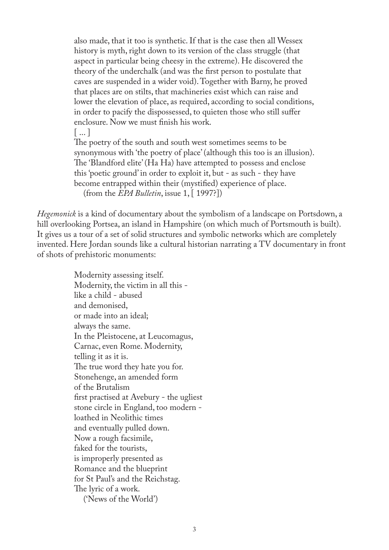also made, that it too is synthetic. If that is the case then all Wessex history is myth, right down to its version of the class struggle (that aspect in particular being cheesy in the extreme). He discovered the theory of the underchalk (and was the first person to postulate that caves are suspended in a wider void). Together with Barny, he proved that places are on stilts, that machineries exist which can raise and lower the elevation of place, as required, according to social conditions, in order to pacify the dispossessed, to quieten those who still suffer enclosure. Now we must finish his work.

 $\vert \ldots \vert$ 

The poetry of the south and south west sometimes seems to be synonymous with 'the poetry of place' (although this too is an illusion). The 'Blandford elite' (Ha Ha) have attempted to possess and enclose this 'poetic ground' in order to exploit it, but - as such - they have become entrapped within their (mystified) experience of place. (from the *EPA Bulletin*, issue 1, [ 1997?])

*Hegemonick* is a kind of documentary about the symbolism of a landscape on Portsdown, a hill overlooking Portsea, an island in Hampshire (on which much of Portsmouth is built). It gives us a tour of a set of solid structures and symbolic networks which are completely invented. Here Jordan sounds like a cultural historian narrating a TV documentary in front of shots of prehistoric monuments:

> Modernity assessing itself. Modernity, the victim in all this like a child - abused and demonised, or made into an ideal; always the same. In the Pleistocene, at Leucomagus, Carnac, even Rome. Modernity, telling it as it is. The true word they hate you for. Stonehenge, an amended form of the Brutalism first practised at Avebury - the ugliest stone circle in England, too modern loathed in Neolithic times and eventually pulled down. Now a rough facsimile, faked for the tourists, is improperly presented as Romance and the blueprint for St Paul's and the Reichstag. The lyric of a work. ('News of the World')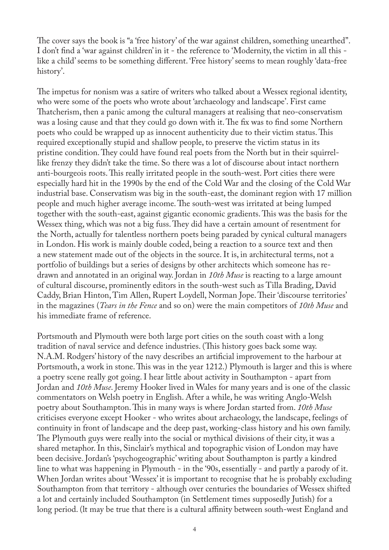The cover says the book is "a 'free history' of the war against children, something unearthed". I don't find a 'war against children' in it - the reference to 'Modernity, the victim in all this like a child' seems to be something different. 'Free history' seems to mean roughly 'data-free history'.

The impetus for nonism was a satire of writers who talked about a Wessex regional identity, who were some of the poets who wrote about 'archaeology and landscape'. First came Thatcherism, then a panic among the cultural managers at realising that neo-conservatism was a losing cause and that they could go down with it. The fix was to find some Northern poets who could be wrapped up as innocent authenticity due to their victim status. This required exceptionally stupid and shallow people, to preserve the victim status in its pristine condition. They could have found real poets from the North but in their squirrellike frenzy they didn't take the time. So there was a lot of discourse about intact northern anti-bourgeois roots. This really irritated people in the south-west. Port cities there were especially hard hit in the 1990s by the end of the Cold War and the closing of the Cold War industrial base. Conservatism was big in the south-east, the dominant region with 17 million people and much higher average income. The south-west was irritated at being lumped together with the south-east, against gigantic economic gradients. This was the basis for the Wessex thing, which was not a big fuss. They did have a certain amount of resentment for the North, actually for talentless northern poets being paraded by cynical cultural managers in London. His work is mainly double coded, being a reaction to a source text and then a new statement made out of the objects in the source. It is, in architectural terms, not a portfolio of buildings but a series of designs by other architects which someone has redrawn and annotated in an original way. Jordan in *10th Muse* is reacting to a large amount of cultural discourse, prominently editors in the south-west such as Tilla Brading, David Caddy, Brian Hinton, Tim Allen, Rupert Loydell, Norman Jope. Their 'discourse territories' in the magazines (*Tears in the Fence* and so on) were the main competitors of *10th Muse* and his immediate frame of reference.

Portsmouth and Plymouth were both large port cities on the south coast with a long tradition of naval service and defence industries. (This history goes back some way. N.A.M. Rodgers' history of the navy describes an artificial improvement to the harbour at Portsmouth, a work in stone. This was in the year 1212.) Plymouth is larger and this is where a poetry scene really got going. I hear little about activity in Southampton - apart from Jordan and *10th Muse*. Jeremy Hooker lived in Wales for many years and is one of the classic commentators on Welsh poetry in English. After a while, he was writing Anglo-Welsh poetry about Southampton. This in many ways is where Jordan started from. *10th Muse* criticises everyone except Hooker - who writes about archaeology, the landscape, feelings of continuity in front of landscape and the deep past, working-class history and his own family. The Plymouth guys were really into the social or mythical divisions of their city, it was a shared metaphor. In this, Sinclair's mythical and topographic vision of London may have been decisive. Jordan's 'psychogeographic' writing about Southampton is partly a kindred line to what was happening in Plymouth - in the '90s, essentially - and partly a parody of it. When Jordan writes about 'Wessex' it is important to recognise that he is probably excluding Southampton from that territory - although over centuries the boundaries of Wessex shifted a lot and certainly included Southampton (in Settlement times supposedly Jutish) for a long period. (lt may be true that there is a cultural affinity between south-west England and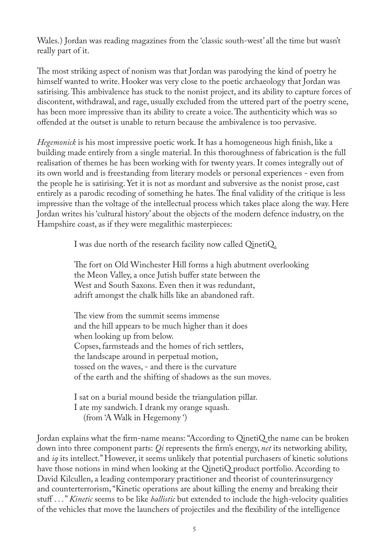Wales.) Jordan was reading magazines from the 'classic south-west' all the time but wasn't really part of it.

The most striking aspect of nonism was that Jordan was parodying the kind of poetry he himself wanted to write. Hooker was very close to the poetic archaeology that Jordan was satirising. This ambivalence has stuck to the nonist project, and its ability to capture forces of discontent, withdrawal, and rage, usually excluded from the uttered part of the poetry scene, has been more impressive than its ability to create a voice. The authenticity which was so offended at the outset is unable to return because the ambivalence is too pervasive.

*Hegemonick* is his most impressive poetic work. It has a homogeneous high finish, like a building made entirely from a single material. In this thoroughness of fabrication is the full realisation of themes he has been working with for twenty years. It comes integrally out of its own world and is freestanding from literary models or personal experiences - even from the people he is satirising. Yet it is not as mordant and subversive as the nonist prose, cast entirely as a parodic recoding of something he hates. The final validity of the critique is less impressive than the voltage of the intellectual process which takes place along the way. Here Jordan writes his 'cultural history' about the objects of the modern defence industry, on the Hampshire coast, as if they were megalithic masterpieces:

I was due north of the research facility now called QinetiQ.

The fort on Old Winchester Hill forms a high abutment overlooking the Meon Valley, a once Jutish buffer state between the West and South Saxons. Even then it was redundant, adrift amongst the chalk hills like an abandoned raft.

The view from the summit seems immense and the hill appears to be much higher than it does when looking up from below. Copses, farmsteads and the homes of rich settlers, the landscape around in perpetual motion, tossed on the waves, - and there is the curvature of the earth and the shifting of shadows as the sun moves.

I sat on a burial mound beside the triangulation pillar. I ate my sandwich. I drank my orange squash. (from 'A Walk in Hegemony ')

Jordan explains what the firm-name means: "According to QinetiQ the name can be broken down into three component parts: *Qi* represents the firm's energy, *net* its networking ability, and *iq* its intellect." However, it seems unlikely that potential purchasers of kinetic solutions have those notions in mind when looking at the QinetiQ product portfolio. According to David Kilcullen, a leading contemporary practitioner and theorist of counterinsurgency and counterterrorism, "Kinetic operations are about killing the enemy and breaking their stuff . . . " *Kinetic* seems to be like *ballistic* but extended to include the high-velocity qualities of the vehicles that move the launchers of projectiles and the flexibility of the intelligence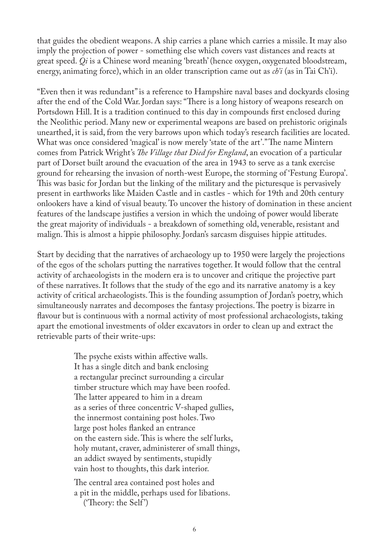that guides the obedient weapons. A ship carries a plane which carries a missile. It may also imply the projection of power - something else which covers vast distances and reacts at great speed. *Qi* is a Chinese word meaning 'breath' (hence oxygen, oxygenated bloodstream, energy, animating force), which in an older transcription came out as *ch'i* (as in Tai Ch'i).

"Even then it was redundant" is a reference to Hampshire naval bases and dockyards closing after the end of the Cold War. Jordan says: "There is a long history of weapons research on Portsdown Hill. It is a tradition continued to this day in compounds first enclosed during the Neolithic period. Many new or experimental weapons are based on prehistoric originals unearthed, it is said, from the very barrows upon which today's research facilities are located. What was once considered 'magical' is now merely 'state of the art'." The name Mintern comes from Patrick Wright's *The Village that Died for England*, an evocation of a particular part of Dorset built around the evacuation of the area in 1943 to serve as a tank exercise ground for rehearsing the invasion of north-west Europe, the storming of 'Festung Europa'. This was basic for Jordan but the linking of the military and the picturesque is pervasively present in earthworks like Maiden Castle and in castles - which for 19th and 20th century onlookers have a kind of visual beauty. To uncover the history of domination in these ancient features of the landscape justifies a version in which the undoing of power would liberate the great majority of individuals - a breakdown of something old, venerable, resistant and malign. This is almost a hippie philosophy. Jordan's sarcasm disguises hippie attitudes.

Start by deciding that the narratives of archaeology up to 1950 were largely the projections of the egos of the scholars putting the narratives together. It would follow that the central activity of archaeologists in the modern era is to uncover and critique the projective part of these narratives. It follows that the study of the ego and its narrative anatomy is a key activity of critical archaeologists. This is the founding assumption of Jordan's poetry, which simultaneously narrates and decomposes the fantasy projections. The poetry is bizarre in flavour but is continuous with a normal activity of most professional archaeologists, taking apart the emotional investments of older excavators in order to clean up and extract the retrievable parts of their write-ups:

> The psyche exists within affective walls. It has a single ditch and bank enclosing a rectangular precinct surrounding a circular timber structure which may have been roofed. The latter appeared to him in a dream as a series of three concentric V-shaped gullies, the innermost containing post holes. Two large post holes flanked an entrance on the eastern side. This is where the self lurks, holy mutant, craver, administerer of small things, an addict swayed by sentiments, stupidly vain host to thoughts, this dark interior.

The central area contained post holes and a pit in the middle, perhaps used for libations. ('Theory: the Self')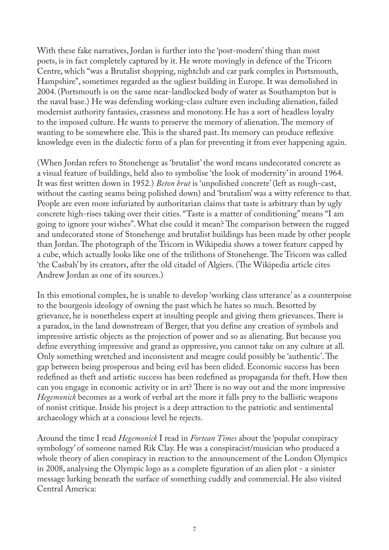With these fake narratives, Jordan is further into the 'post-modern' thing than most poets, is in fact completely captured by it. He wrote movingly in defence of the Tricorn Centre, which "was a Brutalist shopping, nightclub and car park complex in Portsmouth, Hampshire", sometimes regarded as the ugliest building in Europe. It was demolished in 2004. (Portsmouth is on the same near-landlocked body of water as Southampton but is the naval base.) He was defending working-class culture even including alienation, failed modernist authority fantasies, crassness and monotony. He has a sort of headless loyalty to the imposed culture. He wants to preserve the memory of alienation. The memory of wanting to be somewhere else. This is the shared past. Its memory can produce reflexive knowledge even in the dialectic form of a plan for preventing it from ever happening again.

(When Jordan refers to Stonehenge as 'brutalist' the word means undecorated concrete as a visual feature of buildings, held also to symbolise 'the look of modernity' in around 1964. It was first written down in 1952.) *Beton brut* is 'unpolished concrete' (left as rough-cast, without the casting seams being polished down) and 'brutalism' was a witty reference to that. People are even more infuriated by authoritarian claims that taste is arbitrary than by ugly concrete high-rises taking over their cities. "Taste is a matter of conditioning" means "I am going to ignore your wishes". What else could it mean? The comparison between the rugged and undecorated stone of Stonehenge and brutalist buildings has been made by other people than Jordan. The photograph of the Tricorn in Wikipedia shows a tower feature capped by a cube, which actually looks like one of the trilithons of Stonehenge. The Tricorn was called 'the Casbah' by its creators, after the old citadel of Algiers. (The Wikipedia article cites Andrew Jordan as one of its sources.)

In this emotional complex, he is unable to develop 'working class utterance' as a counterpoise to the bourgeois ideology of owning the past which he hates so much. Besotted by grievance, he is nonetheless expert at insulting people and giving them grievances. There is a paradox, in the land downstream of Berger, that you define any creation of symbols and impressive artistic objects as the projection of power and so as alienating. But because you define everything impressive and grand as oppressive, you cannot take on any culture at all. Only something wretched and inconsistent and meagre could possibly be 'authentic'. The gap between being prosperous and being evil has been elided. Economic success has been redefined as theft and artistic success has been redefined as propaganda for theft. How then can you engage in economic activity or in art? There is no way out and the more impressive *Hegemonick* becomes as a work of verbal art the more it falls prey to the ballistic weapons of nonist critique. Inside his project is a deep attraction to the patriotic and sentimental archaeology which at a conscious level he rejects.

Around the time I read *Hegemonick* I read in *Fortean Times* about the 'popular conspiracy symbology' of someone named Rik Clay. He was a conspiracist/musician who produced a whole theory of alien conspiracy in reaction to the announcement of the London Olympics in 2008, analysing the Olympic logo as a complete figuration of an alien plot - a sinister message lurking beneath the surface of something cuddly and commercial. He also visited Central America: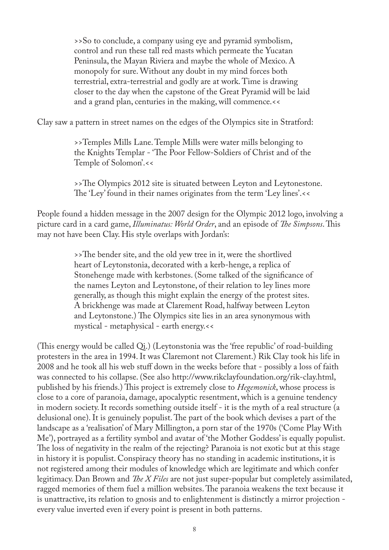>>So to conclude, a company using eye and pyramid symbolism, control and run these tall red masts which permeate the Yucatan Peninsula, the Mayan Riviera and maybe the whole of Mexico. A monopoly for sure. Without any doubt in my mind forces both terrestrial, extra-terrestrial and godly are at work. Time is drawing closer to the day when the capstone of the Great Pyramid will be laid and a grand plan, centuries in the making, will commence.<<

Clay saw a pattern in street names on the edges of the Olympics site in Stratford:

>>Temples Mills Lane. Temple Mills were water mills belonging to the Knights Templar - 'The Poor Fellow-Soldiers of Christ and of the Temple of Solomon'.<<

>>The Olympics 2012 site is situated between Leyton and Leytonestone. The 'Ley' found in their names originates from the term 'Ley lines'.<<

People found a hidden message in the 2007 design for the Olympic 2012 logo, involving a picture card in a card game, *Illuminatus: World Order*, and an episode of *The Simpsons*. This may not have been Clay. His style overlaps with Jordan's:

> >>The bender site, and the old yew tree in it, were the shortlived heart of Leytonstonia, decorated with a kerb-henge, a replica of Stonehenge made with kerbstones. (Some talked of the significance of the names Leyton and Leytonstone, of their relation to ley lines more generally, as though this might explain the energy of the protest sites. A brickhenge was made at Clarement Road, halfway between Leyton and Leytonstone.) The Olympics site lies in an area synonymous with mystical - metaphysical - earth energy.<<

(This energy would be called Qi.) (Leytonstonia was the 'free republic' of road-building protesters in the area in 1994. It was Claremont not Clarement.) Rik Clay took his life in 2008 and he took all his web stuff down in the weeks before that - possibly a loss of faith was connected to his collapse. (See also http://www.rikclayfoundation.org/rik-clay.html, published by his friends.) This project is extremely close to *Hegemonick*, whose process is close to a core of paranoia, damage, apocalyptic resentment, which is a genuine tendency in modern society. It records something outside itself - it is the myth of a real structure (a delusional one). It is genuinely populist. The part of the book which devises a part of the landscape as a 'realisation' of Mary Millington, a porn star of the 1970s ('Come Play With Me'), portrayed as a fertility symbol and avatar of 'the Mother Goddess' is equally populist. The loss of negativity in the realm of the rejecting? Paranoia is not exotic but at this stage in history it is populist. Conspiracy theory has no standing in academic institutions, it is not registered among their modules of knowledge which are legitimate and which confer legitimacy. Dan Brown and *The X Files* are not just super-popular but completely assimilated, ragged memories of them fuel a million websites. The paranoia weakens the text because it is unattractive, its relation to gnosis and to enlightenment is distinctly a mirror projection every value inverted even if every point is present in both patterns.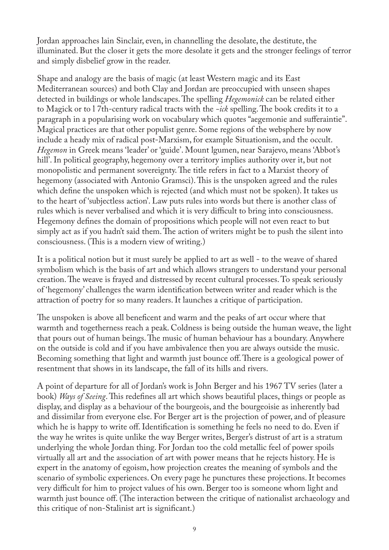Jordan approaches lain Sinclair, even, in channelling the desolate, the destitute, the illuminated. But the closer it gets the more desolate it gets and the stronger feelings of terror and simply disbelief grow in the reader.

Shape and analogy are the basis of magic (at least Western magic and its East Mediterranean sources) and both Clay and Jordan are preoccupied with unseen shapes detected in buildings or whole landscapes. The spelling *Hegemonick* can be related either to Magick or to l 7th-century radical tracts with the *-ick* spelling. The book credits it to a paragraph in a popularising work on vocabulary which quotes "aegemonie and sufferaintie". Magical practices are that other populist genre. Some regions of the websphere by now include a heady mix of radical post-Marxism, for example Situationism, and the occult. *Hegemon* in Greek means 'leader' or 'guide'. Mount lgumen, near Sarajevo, means 'Abbot's hill'. In political geography, hegemony over a territory implies authority over it, but not monopolistic and permanent sovereignty. The title refers in fact to a Marxist theory of hegemony (associated with Antonio Gramsci). This is the unspoken agreed and the rules which define the unspoken which is rejected (and which must not be spoken). It takes us to the heart of 'subjectless action'. Law puts rules into words but there is another class of rules which is never verbalised and which it is very difficult to bring into consciousness. Hegemony defines the domain of propositions which people will not even react to but simply act as if you hadn't said them. The action of writers might be to push the silent into consciousness. (This is a modern view of writing.)

It is a political notion but it must surely be applied to art as well - to the weave of shared symbolism which is the basis of art and which allows strangers to understand your personal creation. The weave is frayed and distressed by recent cultural processes. To speak seriously of 'hegemony' challenges the warm identification between writer and reader which is the attraction of poetry for so many readers. It launches a critique of participation.

The unspoken is above all beneficent and warm and the peaks of art occur where that warmth and togetherness reach a peak. Coldness is being outside the human weave, the light that pours out of human beings. The music of human behaviour has a boundary. Anywhere on the outside is cold and if you have ambivalence then you are always outside the music. Becoming something that light and warmth just bounce off. There is a geological power of resentment that shows in its landscape, the fall of its hills and rivers.

A point of departure for all of Jordan's work is John Berger and his 1967 TV series (later a book) *Ways of Seeing*. This redefines all art which shows beautiful places, things or people as display, and display as a behaviour of the bourgeois, and the bourgeoisie as inherently bad and dissimilar from everyone else. For Berger art is the projection of power, and of pleasure which he is happy to write off. Identification is something he feels no need to do. Even if the way he writes is quite unlike the way Berger writes, Berger's distrust of art is a stratum underlying the whole Jordan thing. For Jordan too the cold metallic feel of power spoils virtually all art and the association of art with power means that he rejects history. He is expert in the anatomy of egoism, how projection creates the meaning of symbols and the scenario of symbolic experiences. On every page he punctures these projections. It becomes very difficult for him to project values of his own. Berger too is someone whom light and warmth just bounce off. (The interaction between the critique of nationalist archaeology and this critique of non-Stalinist art is significant.)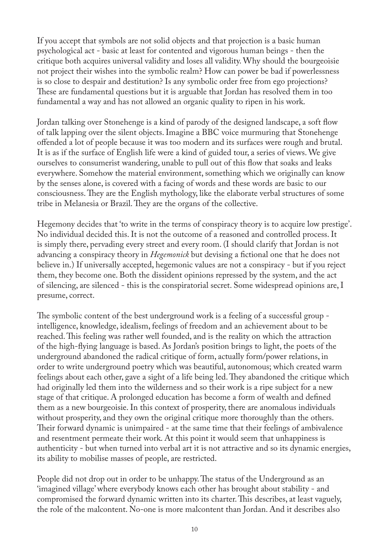If you accept that symbols are not solid objects and that projection is a basic human psychological act - basic at least for contented and vigorous human beings - then the critique both acquires universal validity and loses all validity. Why should the bourgeoisie not project their wishes into the symbolic realm? How can power be bad if powerlessness is so close to despair and destitution? Is any symbolic order free from ego projections? These are fundamental questions but it is arguable that Jordan has resolved them in too fundamental a way and has not allowed an organic quality to ripen in his work.

Jordan talking over Stonehenge is a kind of parody of the designed landscape, a soft flow of talk lapping over the silent objects. Imagine a BBC voice murmuring that Stonehenge offended a lot of people because it was too modern and its surfaces were rough and brutal. It is as if the surface of English life were a kind of guided tour, a series of views. We give ourselves to consumerist wandering, unable to pull out of this flow that soaks and leaks everywhere. Somehow the material environment, something which we originally can know by the senses alone, is covered with a facing of words and these words are basic to our consciousness. They are the English mythology, like the elaborate verbal structures of some tribe in Melanesia or Brazil. They are the organs of the collective.

Hegemony decides that 'to write in the terms of conspiracy theory is to acquire low prestige'. No individual decided this. It is not the outcome of a reasoned and controlled process. It is simply there, pervading every street and every room. (I should clarify that Jordan is not advancing a conspiracy theory in *Hegemonick* but devising a fictional one that he does not believe in.) If universally accepted, hegemonic values are not a conspiracy - but if you reject them, they become one. Both the dissident opinions repressed by the system, and the act of silencing, are silenced - this is the conspiratorial secret. Some widespread opinions are, I presume, correct.

The symbolic content of the best underground work is a feeling of a successful group intelligence, knowledge, idealism, feelings of freedom and an achievement about to be reached. This feeling was rather well founded, and is the reality on which the attraction of the high-flying language is based. As Jordan's position brings to light, the poets of the underground abandoned the radical critique of form, actually form/power relations, in order to write underground poetry which was beautiful, autonomous; which created warm feelings about each other, gave a sight of a life being led. They abandoned the critique which had originally led them into the wilderness and so their work is a ripe subject for a new stage of that critique. A prolonged education has become a form of wealth and defined them as a new bourgeoisie. In this context of prosperity, there are anomalous individuals without prosperity, and they own the original critique more thoroughly than the others. Their forward dynamic is unimpaired - at the same time that their feelings of ambivalence and resentment permeate their work. At this point it would seem that unhappiness is authenticity - but when turned into verbal art it is not attractive and so its dynamic energies, its ability to mobilise masses of people, are restricted.

People did not drop out in order to be unhappy. The status of the Underground as an 'imagined village' where everybody knows each other has brought about stability - and compromised the forward dynamic written into its charter. This describes, at least vaguely, the role of the malcontent. No-one is more malcontent than Jordan. And it describes also